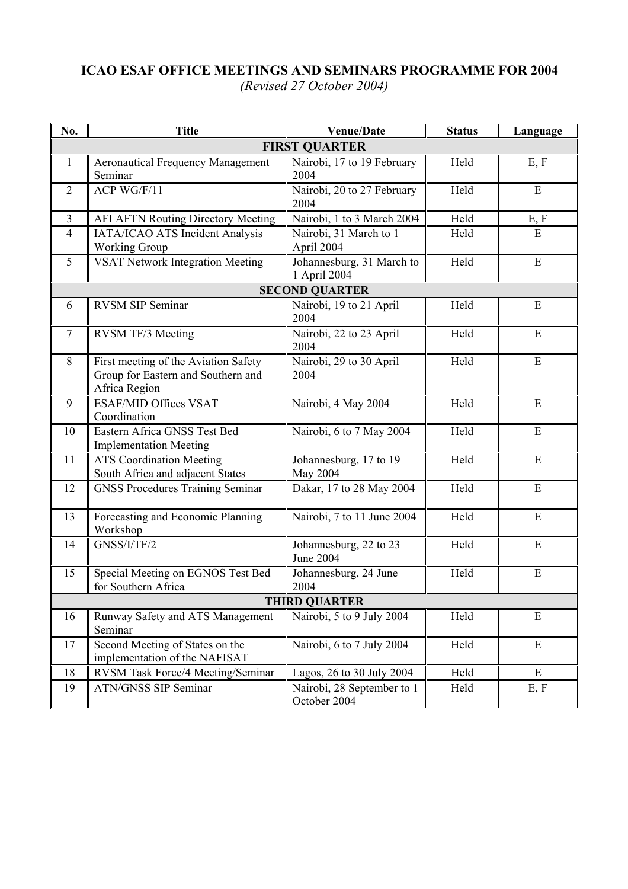## **ICAO ESAF OFFICE MEETINGS AND SEMINARS PROGRAMME FOR 2004** *(Revised 27 October 2004)*

| No.                   | <b>Title</b>                                                                                | <b>Venue/Date</b>                          | <b>Status</b> | Language  |  |  |  |
|-----------------------|---------------------------------------------------------------------------------------------|--------------------------------------------|---------------|-----------|--|--|--|
| <b>FIRST QUARTER</b>  |                                                                                             |                                            |               |           |  |  |  |
| $\mathbf{1}$          | <b>Aeronautical Frequency Management</b><br>Seminar                                         | Nairobi, 17 to 19 February<br>2004         | Held          | E, F      |  |  |  |
| 2                     | ACP WG/F/11                                                                                 | Nairobi, 20 to 27 February<br>2004         | Held          | E         |  |  |  |
| $\overline{3}$        | <b>AFI AFTN Routing Directory Meeting</b>                                                   | Nairobi, 1 to 3 March 2004                 | Held          | E, F      |  |  |  |
| $\overline{4}$        | IATA/ICAO ATS Incident Analysis<br><b>Working Group</b>                                     | Nairobi, 31 March to 1<br>April 2004       | Held          | ${\bf E}$ |  |  |  |
| 5                     | <b>VSAT Network Integration Meeting</b>                                                     | Johannesburg, 31 March to<br>1 April 2004  | Held          | ${\bf E}$ |  |  |  |
| <b>SECOND QUARTER</b> |                                                                                             |                                            |               |           |  |  |  |
| 6                     | RVSM SIP Seminar                                                                            | Nairobi, 19 to 21 April<br>2004            | Held          | E         |  |  |  |
| $\tau$                | RVSM TF/3 Meeting                                                                           | Nairobi, 22 to 23 April<br>2004            | Held          | ${\bf E}$ |  |  |  |
| 8                     | First meeting of the Aviation Safety<br>Group for Eastern and Southern and<br>Africa Region | Nairobi, 29 to 30 April<br>2004            | Held          | E         |  |  |  |
| 9                     | <b>ESAF/MID Offices VSAT</b><br>Coordination                                                | Nairobi, 4 May 2004                        | Held          | ${\bf E}$ |  |  |  |
| 10                    | Eastern Africa GNSS Test Bed<br><b>Implementation Meeting</b>                               | Nairobi, 6 to 7 May 2004                   | Held          | ${\bf E}$ |  |  |  |
| 11                    | <b>ATS Coordination Meeting</b><br>South Africa and adjacent States                         | Johannesburg, 17 to 19<br>May 2004         | Held          | E         |  |  |  |
| 12                    | <b>GNSS Procedures Training Seminar</b>                                                     | Dakar, 17 to 28 May 2004                   | Held          | E         |  |  |  |
| 13                    | Forecasting and Economic Planning<br>Workshop                                               | Nairobi, 7 to 11 June 2004                 | Held          | E         |  |  |  |
| 14                    | GNSS/I/TF/2                                                                                 | Johannesburg, 22 to 23<br>June 2004        | Held          | ${\bf E}$ |  |  |  |
| 15                    | Special Meeting on EGNOS Test Bed<br>for Southern Africa                                    | Johannesburg, 24 June<br>2004              | Held          | E         |  |  |  |
| <b>THIRD QUARTER</b>  |                                                                                             |                                            |               |           |  |  |  |
| 16                    | Runway Safety and ATS Management<br>Seminar                                                 | Nairobi, 5 to 9 July 2004                  | Held          | E         |  |  |  |
| 17                    | Second Meeting of States on the<br>implementation of the NAFISAT                            | Nairobi, 6 to 7 July 2004                  | Held          | E         |  |  |  |
| 18                    | RVSM Task Force/4 Meeting/Seminar                                                           | Lagos, 26 to 30 July 2004                  | Held          | E         |  |  |  |
| 19                    | <b>ATN/GNSS SIP Seminar</b>                                                                 | Nairobi, 28 September to 1<br>October 2004 | Held          | E, F      |  |  |  |